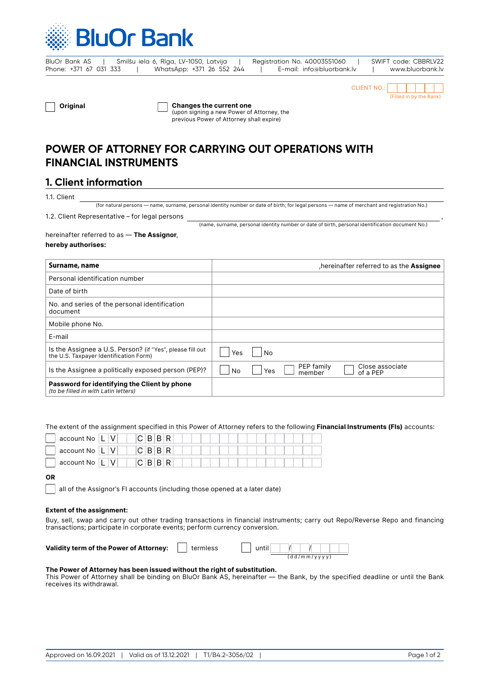

BluOr Bank AS | Smilšu iela 6, Rīga, LV-1050, Latvija | Registration No. 40003551060 | SWIFT code: CBBRLV22 Phone: +371 67 031 333 | WhatsApp: +371 26 552 244 | E-mail: info@bluorbank.lv | www.bluorbank.lv

,



Original Changes the current one

(upon signing a new Power of Attorney, the previous Power of Attorney shall expire)

# **POWER OF ATTORNEY FOR CARRYING OUT OPERATIONS WITH FINANCIAL INSTRUMENTS**

## **1. Client information**

1.1. Client

(for natural persons — name, surname, personal identity number or date of birth; for legal persons — name of merchant and registration No.)

#### 1.2. Client Representative – for legal persons

(name, surname, personal identity number or date of birth, personal identification document No.)

#### hereinafter referred to as - The Assignor, hereby authorises:

| Surname, name                                                                                       | hereinafter referred to as the Assignee                          |
|-----------------------------------------------------------------------------------------------------|------------------------------------------------------------------|
| Personal identification number                                                                      |                                                                  |
| Date of birth                                                                                       |                                                                  |
| No. and series of the personal identification<br>document                                           |                                                                  |
| Mobile phone No.                                                                                    |                                                                  |
| E-mail                                                                                              |                                                                  |
| Is the Assignee a U.S. Person? (if "Yes", please fill out<br>the U.S. Taxpayer Identification Form) | <b>Yes</b><br>No.                                                |
| Is the Assignee a politically exposed person (PEP)?                                                 | PEP family<br>Close associate<br>No<br>Yes<br>of a PEP<br>member |
| Password for identifying the Client by phone<br>(to be filled in with Latin letters)                |                                                                  |

The extent of the assignment specified in this Power of Attorney refers to the following Financial Instruments (FIs) accounts:

| account No                                | C B B R |  |  |  |  |  |  |
|-------------------------------------------|---------|--|--|--|--|--|--|
| $^{\backprime}$ account No $ \mathsf{L} $ | C B B R |  |  |  |  |  |  |
| account No                                | C B B R |  |  |  |  |  |  |

### OR

all of the Assignor's FI accounts (including those opened at a later date)

#### Extent of the assignment:

Buy, sell, swap and carry out other trading transactions in financial instruments; carry out Repo/Reverse Repo and financing transactions; participate in corporate events; perform currency conversion.

Validity term of the Power of Attorney:  $\boxed{\phantom{\cdot}}$  termless

| (dd/mm/yyyy |  |  |  |
|-------------|--|--|--|

#### The Power of Attorney has been issued without the right of substitution.

This Power of Attorney shall be binding on BluOr Bank AS, hereinafter — the Bank, by the specified deadline or until the Bank receives its withdrawal.